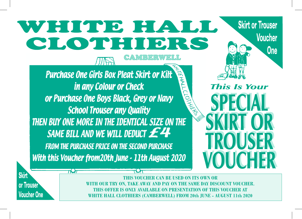## WHITE HALL CLOTHIERS

Purchase One Girls Box Pleat Skirt or Kilt in any Colour or Check or Purchase One Boys Black, Grey or Navy School Trouser any Quality THEN BUY ONE MORE IN THE IDENTICAL SIZE ON THE SAME BILL AND WE WILL DEDUCT  $E$ <sup>4</sup> FROM THE PURCHASE PRICE ON THE SECOND PURCHASE With this Voucher from 20th June - 11th August 2020

**Skirt or Trouser Voucher One This Is Your** 

**Skirt** or Trouser Voucher One  $707$ 

**THIS VOUCHER CAN BE USED ON ITS OWN OR WITH OUR TRY ON, TAKE AWAY AND PAY ON THE SAME DAY DISCOUNT VOUCHER. THIS OFFER IS ONLY AVAILABLE ON PRESENTATION OF THIS VOUCHER AT WHITE HALL CLOTHIERS (CAMBERWELL) FROM 20th JUNE - AUGUST 11th 2020**